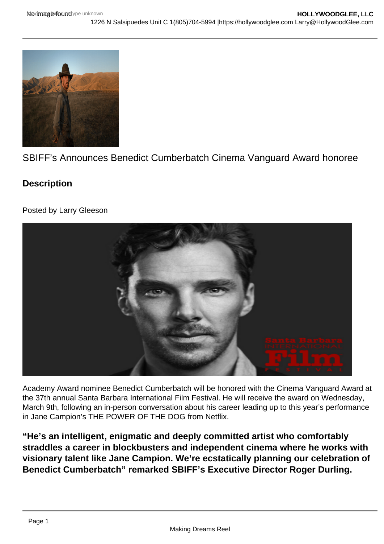## SBIFF's Announces Benedict Cumberbatch Cinema Vanguard Award honoree

**Description** 

Posted by Larry Gleeson

Academy Award nominee Benedict Cumberbatch will be honored with the Cinema Vanguard Award at the 37th annual Santa Barbara International Film Festival. He will receive the award on Wednesday, March 9th, following an in-person conversation about his career leading up to this year's performance in Jane Campion's THE POWER OF THE DOG from Netflix.

"He's an intelligent, enigmatic and deeply committed artist who comfortably straddles a career in blockbusters and independent cinema where he works with visionary talent like Jane Campion. We're ecstatically planning our celebration of Benedict Cumberbatch" remarked SBIFF's Executive Director Roger Durling.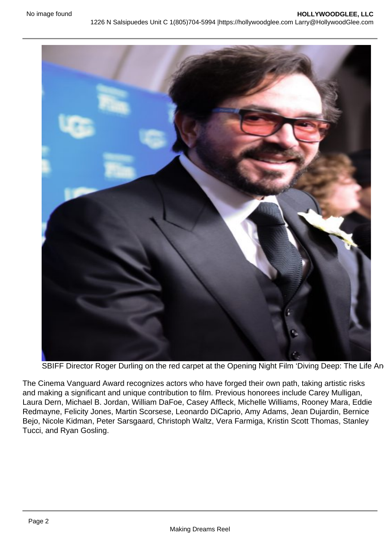SBIFF Director Roger Durling on the red carpet at the Opening Night Film 'Diving Deep: The Life An

The Cinema Vanguard Award recognizes actors who have forged their own path, taking artistic risks and making a significant and unique contribution to film. Previous honorees include Carey Mulligan, Laura Dern, Michael B. Jordan, William DaFoe, Casey Affleck, Michelle Williams, Rooney Mara, Eddie Redmayne, Felicity Jones, Martin Scorsese, Leonardo DiCaprio, Amy Adams, Jean Dujardin, Bernice Bejo, Nicole Kidman, Peter Sarsgaard, Christoph Waltz, Vera Farmiga, Kristin Scott Thomas, Stanley Tucci, and Ryan Gosling.